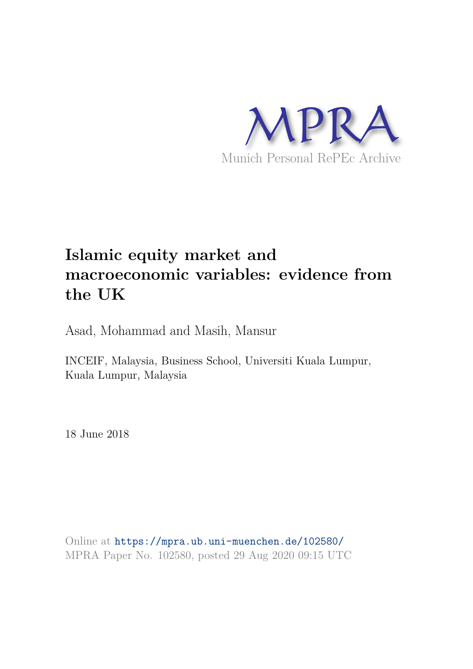

# **Islamic equity market and macroeconomic variables: evidence from the UK**

Asad, Mohammad and Masih, Mansur

INCEIF, Malaysia, Business School, Universiti Kuala Lumpur, Kuala Lumpur, Malaysia

18 June 2018

Online at https://mpra.ub.uni-muenchen.de/102580/ MPRA Paper No. 102580, posted 29 Aug 2020 09:15 UTC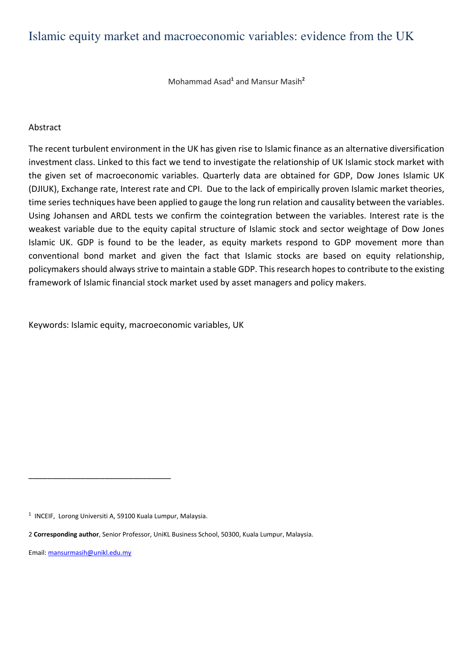# Islamic equity market and macroeconomic variables: evidence from the UK

Mohammad Asad<sup>1</sup> and Mansur Masih<sup>2</sup>

#### Abstract

The recent turbulent environment in the UK has given rise to Islamic finance as an alternative diversification investment class. Linked to this fact we tend to investigate the relationship of UK Islamic stock market with the given set of macroeconomic variables. Quarterly data are obtained for GDP, Dow Jones Islamic UK (DJIUK), Exchange rate, Interest rate and CPI. Due to the lack of empirically proven Islamic market theories, time series techniques have been applied to gauge the long run relation and causality between the variables. Using Johansen and ARDL tests we confirm the cointegration between the variables. Interest rate is the weakest variable due to the equity capital structure of Islamic stock and sector weightage of Dow Jones Islamic UK. GDP is found to be the leader, as equity markets respond to GDP movement more than conventional bond market and given the fact that Islamic stocks are based on equity relationship, policymakers should always strive to maintain a stable GDP. This research hopes to contribute to the existing framework of Islamic financial stock market used by asset managers and policy makers.

Keywords: Islamic equity, macroeconomic variables, UK

\_\_\_\_\_\_\_\_\_\_\_\_\_\_\_\_\_\_\_\_\_\_\_\_\_\_\_\_\_\_

Email: mansurmasih@unikl.edu.my

<sup>&</sup>lt;sup>1</sup> INCEIF, Lorong Universiti A, 59100 Kuala Lumpur, Malaysia.

<sup>2</sup> **Corresponding author**, Senior Professor, UniKL Business School, 50300, Kuala Lumpur, Malaysia.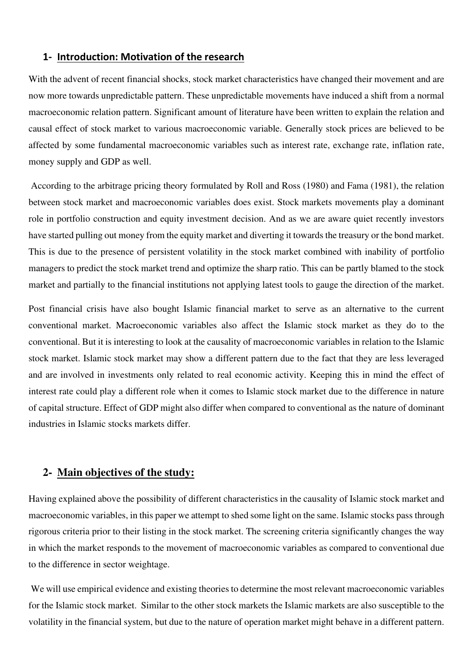## **1- Introduction: Motivation of the research**

With the advent of recent financial shocks, stock market characteristics have changed their movement and are now more towards unpredictable pattern. These unpredictable movements have induced a shift from a normal macroeconomic relation pattern. Significant amount of literature have been written to explain the relation and causal effect of stock market to various macroeconomic variable. Generally stock prices are believed to be affected by some fundamental macroeconomic variables such as interest rate, exchange rate, inflation rate, money supply and GDP as well.

 According to the arbitrage pricing theory formulated by Roll and Ross (1980) and Fama (1981), the relation between stock market and macroeconomic variables does exist. Stock markets movements play a dominant role in portfolio construction and equity investment decision. And as we are aware quiet recently investors have started pulling out money from the equity market and diverting it towards the treasury or the bond market. This is due to the presence of persistent volatility in the stock market combined with inability of portfolio managers to predict the stock market trend and optimize the sharp ratio. This can be partly blamed to the stock market and partially to the financial institutions not applying latest tools to gauge the direction of the market.

Post financial crisis have also bought Islamic financial market to serve as an alternative to the current conventional market. Macroeconomic variables also affect the Islamic stock market as they do to the conventional. But it is interesting to look at the causality of macroeconomic variables in relation to the Islamic stock market. Islamic stock market may show a different pattern due to the fact that they are less leveraged and are involved in investments only related to real economic activity. Keeping this in mind the effect of interest rate could play a different role when it comes to Islamic stock market due to the difference in nature of capital structure. Effect of GDP might also differ when compared to conventional as the nature of dominant industries in Islamic stocks markets differ.

#### **2- Main objectives of the study:**

Having explained above the possibility of different characteristics in the causality of Islamic stock market and macroeconomic variables, in this paper we attempt to shed some light on the same. Islamic stocks pass through rigorous criteria prior to their listing in the stock market. The screening criteria significantly changes the way in which the market responds to the movement of macroeconomic variables as compared to conventional due to the difference in sector weightage.

 We will use empirical evidence and existing theories to determine the most relevant macroeconomic variables for the Islamic stock market. Similar to the other stock markets the Islamic markets are also susceptible to the volatility in the financial system, but due to the nature of operation market might behave in a different pattern.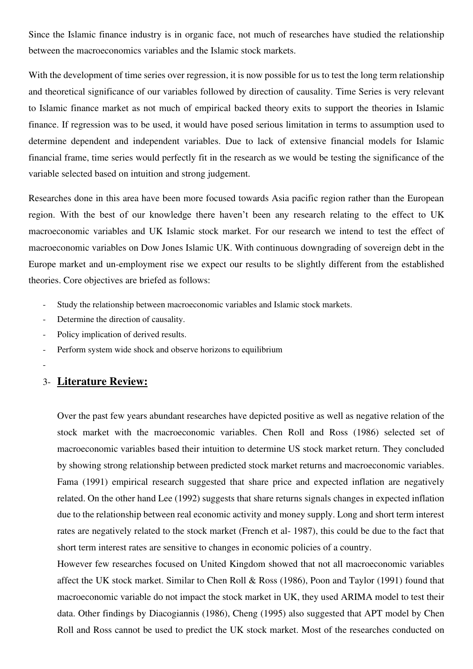Since the Islamic finance industry is in organic face, not much of researches have studied the relationship between the macroeconomics variables and the Islamic stock markets.

With the development of time series over regression, it is now possible for us to test the long term relationship and theoretical significance of our variables followed by direction of causality. Time Series is very relevant to Islamic finance market as not much of empirical backed theory exits to support the theories in Islamic finance. If regression was to be used, it would have posed serious limitation in terms to assumption used to determine dependent and independent variables. Due to lack of extensive financial models for Islamic financial frame, time series would perfectly fit in the research as we would be testing the significance of the variable selected based on intuition and strong judgement.

Researches done in this area have been more focused towards Asia pacific region rather than the European region. With the best of our knowledge there haven't been any research relating to the effect to UK macroeconomic variables and UK Islamic stock market. For our research we intend to test the effect of macroeconomic variables on Dow Jones Islamic UK. With continuous downgrading of sovereign debt in the Europe market and un-employment rise we expect our results to be slightly different from the established theories. Core objectives are briefed as follows:

- Study the relationship between macroeconomic variables and Islamic stock markets.
- Determine the direction of causality.
- Policy implication of derived results.
- Perform system wide shock and observe horizons to equilibrium
- -

# 3- **Literature Review:**

Over the past few years abundant researches have depicted positive as well as negative relation of the stock market with the macroeconomic variables. Chen Roll and Ross (1986) selected set of macroeconomic variables based their intuition to determine US stock market return. They concluded by showing strong relationship between predicted stock market returns and macroeconomic variables. Fama (1991) empirical research suggested that share price and expected inflation are negatively related. On the other hand Lee (1992) suggests that share returns signals changes in expected inflation due to the relationship between real economic activity and money supply. Long and short term interest rates are negatively related to the stock market (French et al- 1987), this could be due to the fact that short term interest rates are sensitive to changes in economic policies of a country.

However few researches focused on United Kingdom showed that not all macroeconomic variables affect the UK stock market. Similar to Chen Roll & Ross (1986), Poon and Taylor (1991) found that macroeconomic variable do not impact the stock market in UK, they used ARIMA model to test their data. Other findings by Diacogiannis (1986), Cheng (1995) also suggested that APT model by Chen Roll and Ross cannot be used to predict the UK stock market. Most of the researches conducted on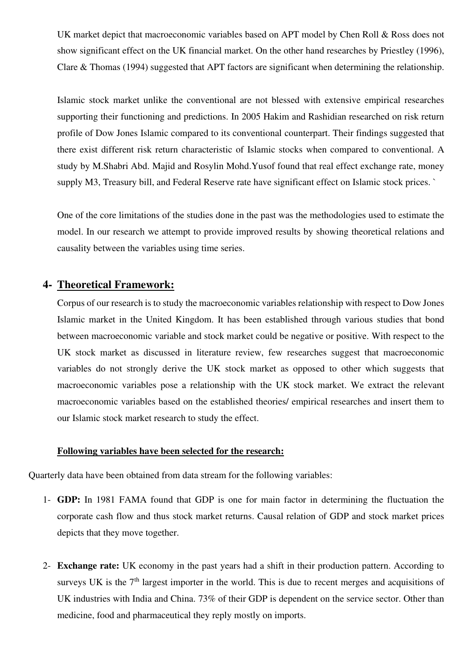UK market depict that macroeconomic variables based on APT model by Chen Roll & Ross does not show significant effect on the UK financial market. On the other hand researches by Priestley (1996), Clare & Thomas (1994) suggested that APT factors are significant when determining the relationship.

Islamic stock market unlike the conventional are not blessed with extensive empirical researches supporting their functioning and predictions. In 2005 Hakim and Rashidian researched on risk return profile of Dow Jones Islamic compared to its conventional counterpart. Their findings suggested that there exist different risk return characteristic of Islamic stocks when compared to conventional. A study by M.Shabri Abd. Majid and Rosylin Mohd.Yusof found that real effect exchange rate, money supply M3, Treasury bill, and Federal Reserve rate have significant effect on Islamic stock prices. `

One of the core limitations of the studies done in the past was the methodologies used to estimate the model. In our research we attempt to provide improved results by showing theoretical relations and causality between the variables using time series.

# **4- Theoretical Framework:**

Corpus of our research is to study the macroeconomic variables relationship with respect to Dow Jones Islamic market in the United Kingdom. It has been established through various studies that bond between macroeconomic variable and stock market could be negative or positive. With respect to the UK stock market as discussed in literature review, few researches suggest that macroeconomic variables do not strongly derive the UK stock market as opposed to other which suggests that macroeconomic variables pose a relationship with the UK stock market. We extract the relevant macroeconomic variables based on the established theories/ empirical researches and insert them to our Islamic stock market research to study the effect.

#### **Following variables have been selected for the research:**

Quarterly data have been obtained from data stream for the following variables:

- 1- **GDP:** In 1981 FAMA found that GDP is one for main factor in determining the fluctuation the corporate cash flow and thus stock market returns. Causal relation of GDP and stock market prices depicts that they move together.
- 2- **Exchange rate:** UK economy in the past years had a shift in their production pattern. According to surveys UK is the  $7<sup>th</sup>$  largest importer in the world. This is due to recent merges and acquisitions of UK industries with India and China. 73% of their GDP is dependent on the service sector. Other than medicine, food and pharmaceutical they reply mostly on imports.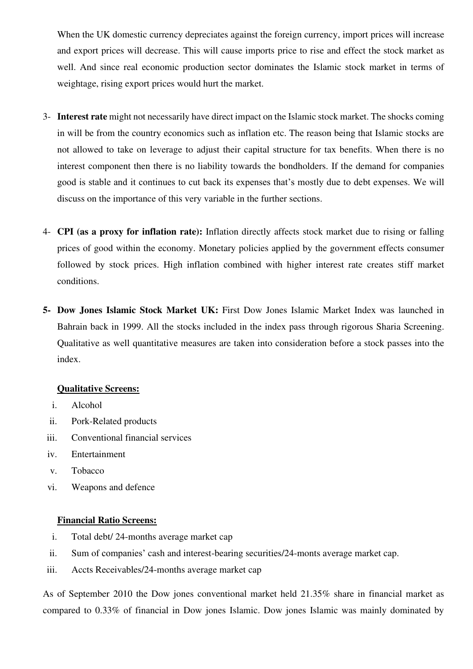When the UK domestic currency depreciates against the foreign currency, import prices will increase and export prices will decrease. This will cause imports price to rise and effect the stock market as well. And since real economic production sector dominates the Islamic stock market in terms of weightage, rising export prices would hurt the market.

- 3- **Interest rate** might not necessarily have direct impact on the Islamic stock market. The shocks coming in will be from the country economics such as inflation etc. The reason being that Islamic stocks are not allowed to take on leverage to adjust their capital structure for tax benefits. When there is no interest component then there is no liability towards the bondholders. If the demand for companies good is stable and it continues to cut back its expenses that's mostly due to debt expenses. We will discuss on the importance of this very variable in the further sections.
- 4- **CPI (as a proxy for inflation rate):** Inflation directly affects stock market due to rising or falling prices of good within the economy. Monetary policies applied by the government effects consumer followed by stock prices. High inflation combined with higher interest rate creates stiff market conditions.
- **5- Dow Jones Islamic Stock Market UK:** First Dow Jones Islamic Market Index was launched in Bahrain back in 1999. All the stocks included in the index pass through rigorous Sharia Screening. Qualitative as well quantitative measures are taken into consideration before a stock passes into the index.

#### **Qualitative Screens:**

- i. Alcohol
- ii. Pork-Related products
- iii. Conventional financial services
- iv. Entertainment
- v. Tobacco
- vi. Weapons and defence

#### **Financial Ratio Screens:**

- i. Total debt/ 24-months average market cap
- ii. Sum of companies' cash and interest-bearing securities/24-monts average market cap.
- iii. Accts Receivables/24-months average market cap

As of September 2010 the Dow jones conventional market held 21.35% share in financial market as compared to 0.33% of financial in Dow jones Islamic. Dow jones Islamic was mainly dominated by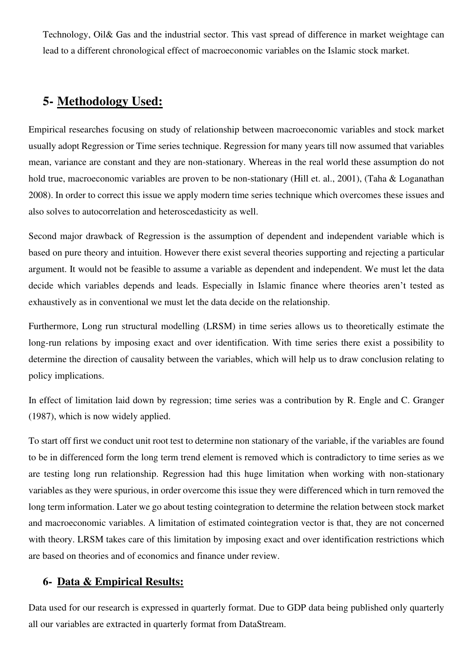Technology, Oil& Gas and the industrial sector. This vast spread of difference in market weightage can lead to a different chronological effect of macroeconomic variables on the Islamic stock market.

# **5- Methodology Used:**

Empirical researches focusing on study of relationship between macroeconomic variables and stock market usually adopt Regression or Time series technique. Regression for many years till now assumed that variables mean, variance are constant and they are non-stationary. Whereas in the real world these assumption do not hold true, macroeconomic variables are proven to be non-stationary (Hill et. al., 2001), (Taha & Loganathan 2008). In order to correct this issue we apply modern time series technique which overcomes these issues and also solves to autocorrelation and heteroscedasticity as well.

Second major drawback of Regression is the assumption of dependent and independent variable which is based on pure theory and intuition. However there exist several theories supporting and rejecting a particular argument. It would not be feasible to assume a variable as dependent and independent. We must let the data decide which variables depends and leads. Especially in Islamic finance where theories aren't tested as exhaustively as in conventional we must let the data decide on the relationship.

Furthermore, Long run structural modelling (LRSM) in time series allows us to theoretically estimate the long-run relations by imposing exact and over identification. With time series there exist a possibility to determine the direction of causality between the variables, which will help us to draw conclusion relating to policy implications.

In effect of limitation laid down by regression; time series was a contribution by R. Engle and C. Granger (1987), which is now widely applied.

To start off first we conduct unit root test to determine non stationary of the variable, if the variables are found to be in differenced form the long term trend element is removed which is contradictory to time series as we are testing long run relationship. Regression had this huge limitation when working with non-stationary variables as they were spurious, in order overcome this issue they were differenced which in turn removed the long term information. Later we go about testing cointegration to determine the relation between stock market and macroeconomic variables. A limitation of estimated cointegration vector is that, they are not concerned with theory. LRSM takes care of this limitation by imposing exact and over identification restrictions which are based on theories and of economics and finance under review.

# **6- Data & Empirical Results:**

Data used for our research is expressed in quarterly format. Due to GDP data being published only quarterly all our variables are extracted in quarterly format from DataStream.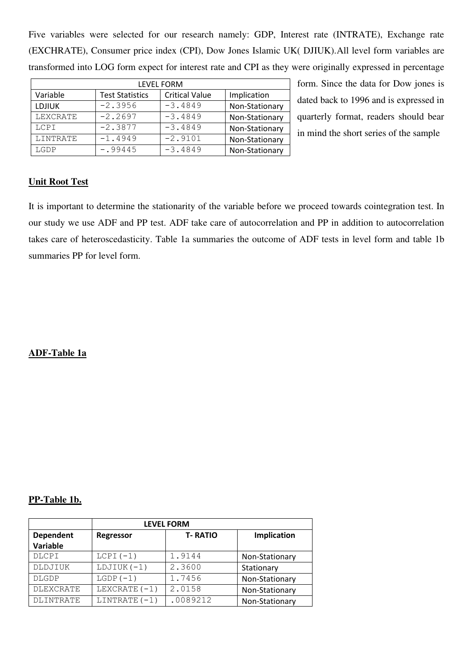Five variables were selected for our research namely: GDP, Interest rate (INTRATE), Exchange rate (EXCHRATE), Consumer price index (CPI), Dow Jones Islamic UK( DJIUK).All level form variables are transformed into LOG form expect for interest rate and CPI as they were originally expressed in percentage

| <b>LEVEL FORM</b> |                                                 |           |                |  |  |
|-------------------|-------------------------------------------------|-----------|----------------|--|--|
| Variable          | <b>Critical Value</b><br><b>Test Statistics</b> |           |                |  |  |
| <b>LDJIUK</b>     | $-2.3956$                                       | $-3.4849$ | Non-Stationary |  |  |
| LEXCRATE          | $-2.2697$                                       | $-3.4849$ | Non-Stationary |  |  |
| LCPI              | $-2.3877$                                       | $-3.4849$ | Non-Stationary |  |  |
| LINTRATE          | $-1.4949$                                       | $-2.9101$ | Non-Stationary |  |  |
| LGDP              | $-0.99445$                                      | $-3.4849$ | Non-Stationary |  |  |

form. Since the data for Dow jones is dated back to 1996 and is expressed in quarterly format, readers should bear in mind the short series of the sample

## **Unit Root Test**

It is important to determine the stationarity of the variable before we proceed towards cointegration test. In our study we use ADF and PP test. ADF take care of autocorrelation and PP in addition to autocorrelation takes care of heteroscedasticity. Table 1a summaries the outcome of ADF tests in level form and table 1b summaries PP for level form.

## **ADF-Table 1a**

#### **PP-Table 1b.**

| <b>LEVEL FORM</b> |                 |             |                |  |  |  |
|-------------------|-----------------|-------------|----------------|--|--|--|
| <b>Dependent</b>  | Regressor       | Implication |                |  |  |  |
| Variable          |                 |             |                |  |  |  |
| DLCPI             | $LCPI (-1)$     | 1.9144      | Non-Stationary |  |  |  |
| DLDJIUK           | $LDJIUK(-1)$    | 2.3600      | Stationary     |  |  |  |
| <b>DLGDP</b>      | $LGDP(-1)$      | 1.7456      | Non-Stationary |  |  |  |
| <b>DLEXCRATE</b>  | LEXCRATE $(-1)$ | 2.0158      | Non-Stationary |  |  |  |
| <b>DLINTRATE</b>  | LINTRATE $(-1)$ | .0089212    | Non-Stationary |  |  |  |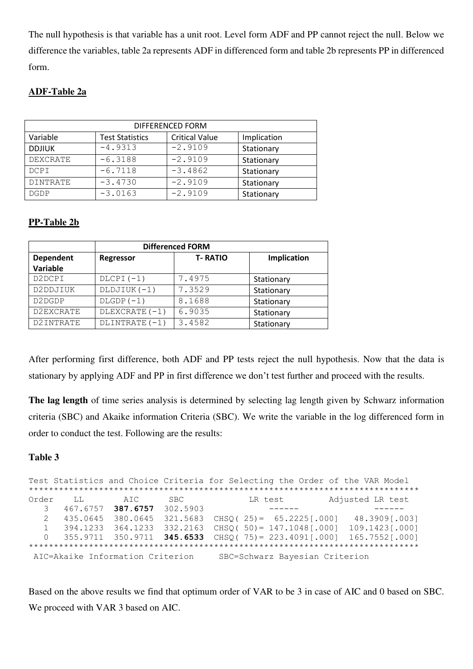The null hypothesis is that variable has a unit root. Level form ADF and PP cannot reject the null. Below we difference the variables, table 2a represents ADF in differenced form and table 2b represents PP in differenced form.

# **ADF-Table 2a**

| DIFFERENCED FORM |             |           |            |  |  |
|------------------|-------------|-----------|------------|--|--|
| Variable         | Implication |           |            |  |  |
| <b>DDJIUK</b>    | $-4.9313$   | $-2.9109$ | Stationary |  |  |
| DEXCRATE         | $-6.3188$   | $-2.9109$ | Stationary |  |  |
| DCPI             | $-6.7118$   | $-3.4862$ | Stationary |  |  |
| <b>DINTRATE</b>  | $-3.4730$   | $-2.9109$ | Stationary |  |  |
| <b>DGDP</b>      | $-3.0163$   | $-2.9109$ | Stationary |  |  |

# **PP-Table 2b**

| <b>Differenced FORM</b> |                |                |             |  |  |  |
|-------------------------|----------------|----------------|-------------|--|--|--|
| Dependent               | Regressor      | <b>T-RATIO</b> | Implication |  |  |  |
| Variable                |                |                |             |  |  |  |
| D2DCPI                  | $DLCPI(-1)$    | 7.4975         | Stationary  |  |  |  |
| D2DDJIUK                | DLDJIUK (-1)   | 7.3529         | Stationary  |  |  |  |
| D2DGDP                  | $DLGDP(-1)$    | 8.1688         | Stationary  |  |  |  |
| D2EXCRATE               | DLEXCRATE (-1) | 6.9035         | Stationary  |  |  |  |
| D2INTRATE               | DLINTRATE (-1) | 3.4582         | Stationary  |  |  |  |

After performing first difference, both ADF and PP tests reject the null hypothesis. Now that the data is stationary by applying ADF and PP in first difference we don't test further and proceed with the results.

**The lag length** of time series analysis is determined by selecting lag length given by Schwarz information criteria (SBC) and Akaike information Criteria (SBC). We write the variable in the log differenced form in order to conduct the test. Following are the results:

# **Table 3**

Test Statistics and Choice Criteria for Selecting the Order of the VAR Model \*\*\*\*\*\*\*\*\*\*\*\*\*\*\*\*\*\*\*\*\*\*\*\*\*\*\*\*\*\*\*\*\*\*\*\*\*\*\*\*\*\*\*\*\*\*\*\*\*\*\*\*\*\*\*\*\*\*\*\*\*\*\*\*\*\*\*\*\*\*\*\*\*\*\*\*\*\* Order LL AIC SBC LR test Adjusted LR test 3 467.6757 **387.6757** 302.5903 ------ ------ 2 435.0645 380.0645 321.5683 CHSQ( 25)= 65.2225[.000] 48.3909[.003] 1 394.1233 364.1233 332.2163 CHSQ( 50)= 147.1048[.000] 109.1423[.000] 0 355.9711 350.9711 **345.6533** CHSQ( 75)= 223.4091[.000] 165.7552[.000] \*\*\*\*\*\*\*\*\*\*\*\*\*\*\*\*\*\*\*\*\*\*\*\*\*\*\*\*\*\*\*\*\*\*\*\*\*\*\*\*\*\*\*\*\*\*\*\*\*\*\*\*\*\*\*\*\*\*\*\*\*\*\*\*\*\*\*\*\*\*\*\*\*\*\*\*\*\* AIC=Akaike Information Criterion SBC=Schwarz Bayesian Criterion

Based on the above results we find that optimum order of VAR to be 3 in case of AIC and 0 based on SBC. We proceed with VAR 3 based on AIC.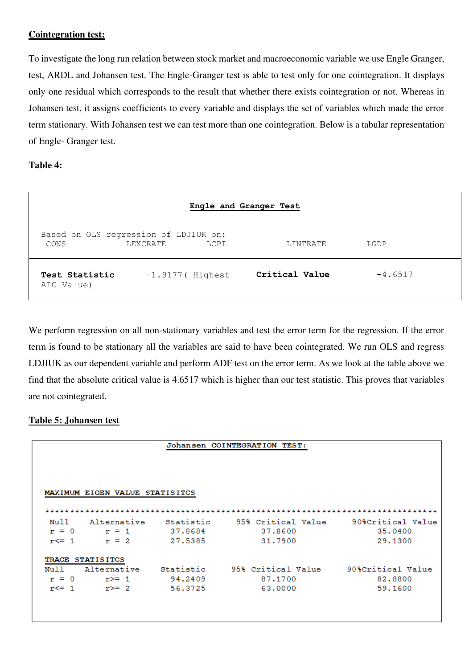#### **Cointegration test:**

To investigate the long run relation between stock market and macroeconomic variable we use Engle Granger, test, ARDL and Johansen test. The Engle-Granger test is able to test only for one cointegration. It displays only one residual which corresponds to the result that whether there exists cointegration or not. Whereas in Johansen test, it assigns coefficients to every variable and displays the set of variables which made the error term stationary. With Johansen test we can test more than one cointegration. Below is a tabular representation of Engle- Granger test.

#### **Table 4:**

| Engle and Granger Test                        |          |                    |                |           |  |
|-----------------------------------------------|----------|--------------------|----------------|-----------|--|
| Based on OLS regression of LDJIUK on:<br>CONS | LEXCRATE | LCPI               | LINTRATE       | LGDP      |  |
| Test Statistic<br>AIC Value)                  |          | $-1.9177$ (Highest | Critical Value | $-4.6517$ |  |

We perform regression on all non-stationary variables and test the error term for the regression. If the error term is found to be stationary all the variables are said to have been cointegrated. We run OLS and regress LDJIUK as our dependent variable and perform ADF test on the error term. As we look at the table above we find that the absolute critical value is 4.6517 which is higher than our test statistic. This proves that variables are not cointegrated.

## **Table 5: Johansen test**

|                 |                                |           | Johansen COINTEGRATION TEST: |                   |
|-----------------|--------------------------------|-----------|------------------------------|-------------------|
|                 | MAXIMUM EIGEN VALUE STATISITCS |           |                              |                   |
| Null            | Alternative                    | Statistic | 95% Critical Value           | 90%Critical Value |
| $r = 0$         | $r = 1$                        | 37.8684   | 37.8600                      | 35,0400           |
| $r \leq 1$      | $r = 2$                        | 27.5385   | 31.7900                      | 29.1300           |
| <b>TRACE</b>    | <b>STATISITCS</b>              |           |                              |                   |
|                 | Alternative                    | Statistic | 95% Critical Value           | 90%Critical Value |
|                 |                                |           |                              |                   |
| Null<br>$r = 0$ | $r \geq 1$                     | 94.2409   | 87.1700                      | 82,8800           |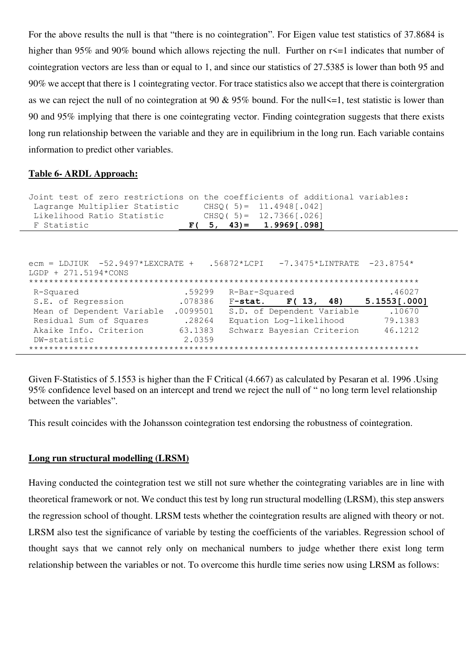For the above results the null is that "there is no cointegration". For Eigen value test statistics of 37.8684 is higher than 95% and 90% bound which allows rejecting the null. Further on r<=1 indicates that number of cointegration vectors are less than or equal to 1, and since our statistics of 27.5385 is lower than both 95 and 90% we accept that there is 1 cointegrating vector. For trace statistics also we accept that there is cointergration as we can reject the null of no cointegration at 90  $& 95\%$  bound. For the null  $\leq 1$ , test statistic is lower than 90 and 95% implying that there is one cointegrating vector. Finding cointegration suggests that there exists long run relationship between the variable and they are in equilibrium in the long run. Each variable contains information to predict other variables.

#### **Table 6- ARDL Approach:**

| Joint test of zero restrictions on the coefficients of additional variables:<br>Lagrange Multiplier Statistic<br>Likelihood Ratio Statistic<br>F Statistic |          | $CHSO(5) = 11.4948[.042]$<br>$CHSO(5) = 12.7366[.026]$<br>$F(5, 43) = 1.9969[.098]$ |                     |
|------------------------------------------------------------------------------------------------------------------------------------------------------------|----------|-------------------------------------------------------------------------------------|---------------------|
|                                                                                                                                                            |          |                                                                                     |                     |
|                                                                                                                                                            |          |                                                                                     |                     |
| $ecm = LDJIUK -52.9497*LEXCRATE +$<br>$LGDP + 271.5194*CONS$                                                                                               |          | $.56872*LCPI$ -7.3475*LINTRATE -23.8754*                                            |                     |
| R-Squared                                                                                                                                                  | .59299   | R-Bar-Squared                                                                       | .46027              |
| S.E. of Regression                                                                                                                                         | .078386  | $F-stat.$ $F(13, 48)$                                                               | $5.1553$ [ $.000$ ] |
| Mean of Dependent Variable                                                                                                                                 | .0099501 | S.D. of Dependent Variable                                                          | .10670              |
| Residual Sum of Squares                                                                                                                                    | .28264   | Equation Log-likelihood                                                             | 79.1383             |
| Akaike Info. Criterion                                                                                                                                     | 63.1383  | Schwarz Bayesian Criterion                                                          | 46.1212             |
| DW-statistic                                                                                                                                               | 2.0359   |                                                                                     |                     |
|                                                                                                                                                            |          |                                                                                     |                     |

Given F-Statistics of 5.1553 is higher than the F Critical (4.667) as calculated by Pesaran et al. 1996 .Using 95% confidence level based on an intercept and trend we reject the null of " no long term level relationship between the variables".

This result coincides with the Johansson cointegration test endorsing the robustness of cointegration.

#### **Long run structural modelling (LRSM)**

Having conducted the cointegration test we still not sure whether the cointegrating variables are in line with theoretical framework or not. We conduct this test by long run structural modelling (LRSM), this step answers the regression school of thought. LRSM tests whether the cointegration results are aligned with theory or not. LRSM also test the significance of variable by testing the coefficients of the variables. Regression school of thought says that we cannot rely only on mechanical numbers to judge whether there exist long term relationship between the variables or not. To overcome this hurdle time series now using LRSM as follows: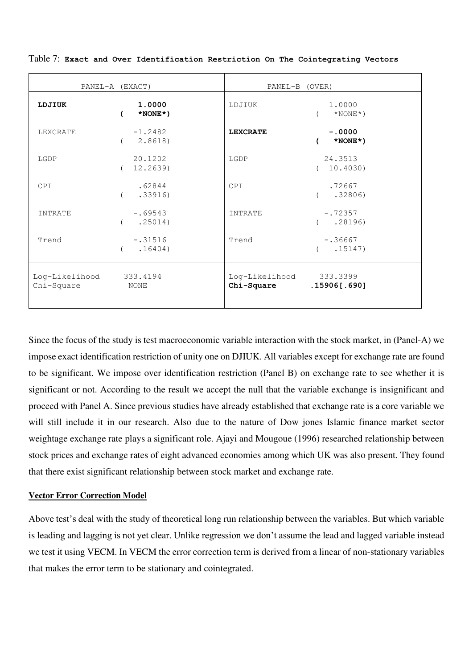|                              | PANEL-A (EXACT)                        | PANEL-B (OVER)               |                                          |
|------------------------------|----------------------------------------|------------------------------|------------------------------------------|
| LDJIUK                       | 1.0000<br>$\epsilon$<br>$*$ NONE $*$ ) | LDJIUK                       | 1.0000<br>$(\times$ NONE $^*)$           |
| LEXCRATE                     | $-1.2482$<br>(2.8618)                  | <b>LEXCRATE</b>              | $-.0000$<br>$*$ NONE $*$ )<br>$\sqrt{2}$ |
| LGDP                         | 20.1202<br>12.2639)                    | LGDP                         | 24.3513<br>(10.4030)                     |
| CPI                          | .62844<br>.33916)                      | <b>CPT</b>                   | .72667<br>( .32806)                      |
| INTRATE                      | $-.69543$<br>( .25014)                 | INTRATE                      | $-.72357$<br>( .28196)                   |
| Trend                        | $-.31516$<br>.16404)                   | Trend                        | $-.36667$<br>( .15147)                   |
| Log-Likelihood<br>Chi-Square | 333.4194<br>NONE                       | Log-Likelihood<br>Chi-Square | 333.3399<br>.15906[.690]                 |

Table 7: **Exact and Over Identification Restriction On The Cointegrating Vectors**

Since the focus of the study is test macroeconomic variable interaction with the stock market, in (Panel-A) we impose exact identification restriction of unity one on DJIUK. All variables except for exchange rate are found to be significant. We impose over identification restriction (Panel B) on exchange rate to see whether it is significant or not. According to the result we accept the null that the variable exchange is insignificant and proceed with Panel A. Since previous studies have already established that exchange rate is a core variable we will still include it in our research. Also due to the nature of Dow jones Islamic finance market sector weightage exchange rate plays a significant role. Ajayi and Mougoue (1996) researched relationship between stock prices and exchange rates of eight advanced economies among which UK was also present. They found that there exist significant relationship between stock market and exchange rate.

#### **Vector Error Correction Model**

Above test's deal with the study of theoretical long run relationship between the variables. But which variable is leading and lagging is not yet clear. Unlike regression we don't assume the lead and lagged variable instead we test it using VECM. In VECM the error correction term is derived from a linear of non-stationary variables that makes the error term to be stationary and cointegrated.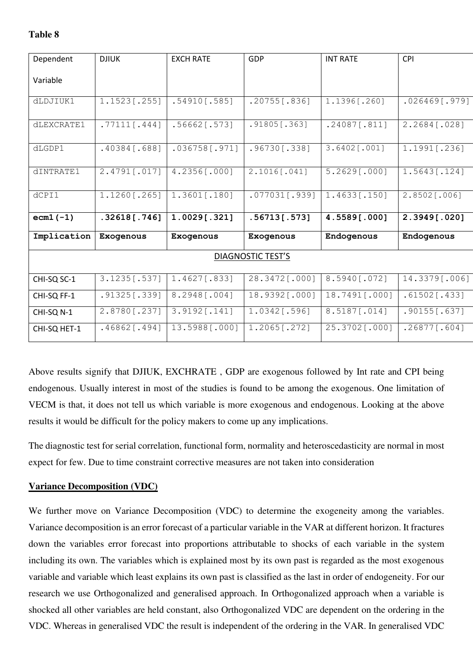# **Table 8**

| Dependent    | <b>DJIUK</b>    | <b>EXCH RATE</b> | GDP                      | <b>INT RATE</b> | <b>CPI</b>      |
|--------------|-----------------|------------------|--------------------------|-----------------|-----------------|
| Variable     |                 |                  |                          |                 |                 |
| dLDJIUK1     | 1.1523[.255]    | $.54910$ [.585]  | $.20755$ [.836]          | 1.1396[.260]    | .026469[.979]   |
|              |                 |                  |                          |                 |                 |
| dLEXCRATE1   | $.77111$ [.444] | $.56662$ [.573]  | $.91805$ [.363]          | $.24087$ [.811] | 2.2684 [.028]   |
| dLGDP1       | $.40384$ [.688] | $.036758$ [.971] | .96730[.338]             | 3.6402[.001]    | 1.1991 [.236]   |
| dINTRATE1    | 2.4791[.017]    | 4.2356[.000]     | 2.1016[.041]             | 5.2629[.000]    | 1.5643[.124]    |
| dCPI1        | 1.1260[.265]    | $1.3601$ [.180]  | $.077031$ [.939]         | 1.4633[.150]    | $2.8502$ [.006] |
| $ecm1(-1)$   | $.32618$ [.746] | 1.0029[.321]     | .56713[.573]             | 4.5589[.000]    | 2.3949[.020]    |
| Implication  | Exogenous       | Exogenous        | Exogenous                | Endogenous      | Endogenous      |
|              |                 |                  | <b>DIAGNOSTIC TEST'S</b> |                 |                 |
| CHI-SQ SC-1  | 3.1235[.537]    | $1.4627$ [.833]  | 28.3472[.000]            | 8.5940 [.072]   | 14.3379[.006]   |
| CHI-SQ FF-1  | $.91325$ [.339] | 8.2948[.004]     | 18.9392[.000]            | 18.7491[.000]   | $.61502$ [.433] |
| CHI-SQ N-1   | 2.8780[.237]    | $3.9192$ [.141]  | 1.0342[.596]             | 8.5187[.014]    | $.90155$ [.637] |
| CHI-SQ HET-1 | $.46862$ [.494] | 13.5988[.000]    | 1.2065[.272]             | 25.3702[.000]   | $.26877$ [.604] |

Above results signify that DJIUK, EXCHRATE , GDP are exogenous followed by Int rate and CPI being endogenous. Usually interest in most of the studies is found to be among the exogenous. One limitation of VECM is that, it does not tell us which variable is more exogenous and endogenous. Looking at the above results it would be difficult for the policy makers to come up any implications.

The diagnostic test for serial correlation, functional form, normality and heteroscedasticity are normal in most expect for few. Due to time constraint corrective measures are not taken into consideration

## **Variance Decomposition (VDC)**

We further move on Variance Decomposition (VDC) to determine the exogeneity among the variables. Variance decomposition is an error forecast of a particular variable in the VAR at different horizon. It fractures down the variables error forecast into proportions attributable to shocks of each variable in the system including its own. The variables which is explained most by its own past is regarded as the most exogenous variable and variable which least explains its own past is classified as the last in order of endogeneity. For our research we use Orthogonalized and generalised approach. In Orthogonalized approach when a variable is shocked all other variables are held constant, also Orthogonalized VDC are dependent on the ordering in the VDC. Whereas in generalised VDC the result is independent of the ordering in the VAR. In generalised VDC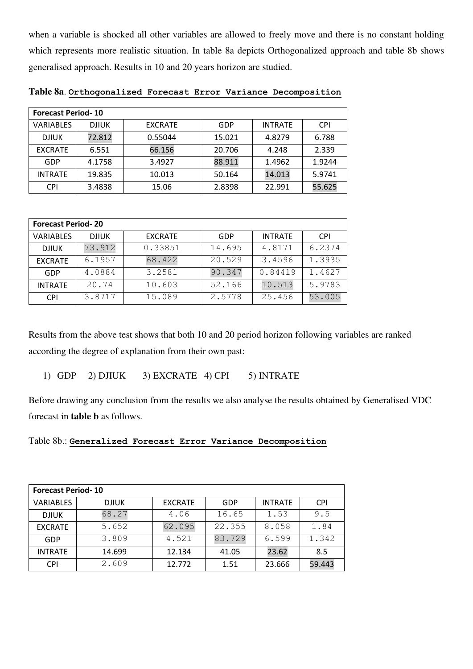when a variable is shocked all other variables are allowed to freely move and there is no constant holding which represents more realistic situation. In table 8a depicts Orthogonalized approach and table 8b shows generalised approach. Results in 10 and 20 years horizon are studied.

| <b>Forecast Period-10</b> |              |                |        |                |            |
|---------------------------|--------------|----------------|--------|----------------|------------|
| <b>VARIABLES</b>          | <b>DJIUK</b> | <b>EXCRATE</b> | GDP    | <b>INTRATE</b> | <b>CPI</b> |
| <b>DJIUK</b>              | 72.812       | 0.55044        | 15.021 | 4.8279         | 6.788      |
| <b>EXCRATE</b>            | 6.551        | 66.156         | 20.706 | 4.248          | 2.339      |
| GDP                       | 4.1758       | 3.4927         | 88.911 | 1.4962         | 1.9244     |
| <b>INTRATE</b>            | 19.835       | 10.013         | 50.164 | 14.013         | 5.9741     |
| <b>CPI</b>                | 3.4838       | 15.06          | 2.8398 | 22.991         | 55.625     |

**Table 8a**. **Orthogonalized Forecast Error Variance Decomposition**

| <b>Forecast Period-20</b> |              |                |            |                |            |
|---------------------------|--------------|----------------|------------|----------------|------------|
| <b>VARIABLES</b>          | <b>DJIUK</b> | <b>EXCRATE</b> | <b>GDP</b> | <b>INTRATE</b> | <b>CPI</b> |
| <b>DJIUK</b>              | 73.912       | 0.33851        | 14.695     | 4.8171         | 6.2374     |
| <b>EXCRATE</b>            | 6.1957       | 68.422         | 20.529     | 3.4596         | 1.3935     |
| GDP                       | 4.0884       | 3.2581         | 90.347     | 0.84419        | 1.4627     |
| <b>INTRATE</b>            | 20.74        | 10.603         | 52.166     | 10.513         | 5.9783     |
| <b>CPI</b>                | 3.8717       | 15.089         | 2.5778     | 25.456         | 53.005     |

Results from the above test shows that both 10 and 20 period horizon following variables are ranked according the degree of explanation from their own past:

1) GDP 2) DJIUK 3) EXCRATE 4) CPI 5) INTRATE

Before drawing any conclusion from the results we also analyse the results obtained by Generalised VDC forecast in **table b** as follows.

# Table 8b.: **Generalized Forecast Error Variance Decomposition**

| <b>Forecast Period-10</b> |              |                |        |                |            |
|---------------------------|--------------|----------------|--------|----------------|------------|
| <b>VARIABLES</b>          | <b>DJIUK</b> | <b>EXCRATE</b> | GDP    | <b>INTRATE</b> | <b>CPI</b> |
| <b>DJIUK</b>              | 68.27        | 4.06           | 16.65  | 1.53           | 9.5        |
| <b>EXCRATE</b>            | 5.652        | 62.095         | 22.355 | 8.058          | 1.84       |
| GDP                       | 3.809        | 4.521          | 83.729 | 6.599          | 1.342      |
| <b>INTRATE</b>            | 14.699       | 12.134         | 41.05  | 23.62          | 8.5        |
| <b>CPI</b>                | 2.609        | 12.772         | 1.51   | 23.666         | 59.443     |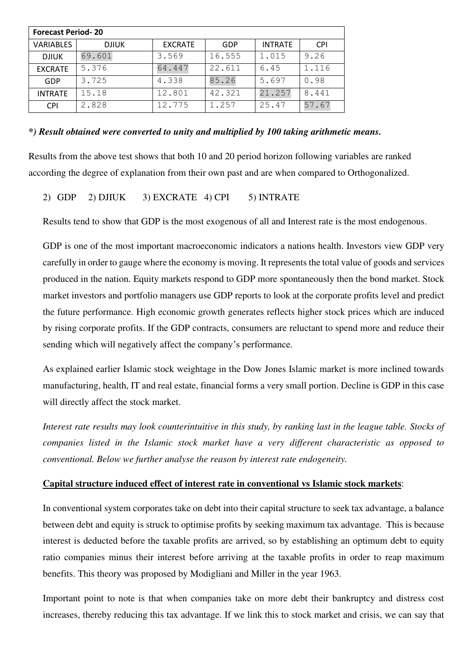| <b>Forecast Period-20</b> |              |                |        |                |            |
|---------------------------|--------------|----------------|--------|----------------|------------|
| <b>VARIABLES</b>          | <b>DJIUK</b> | <b>EXCRATE</b> | GDP    | <b>INTRATE</b> | <b>CPI</b> |
| <b>DJIUK</b>              | 69.601       | 3.569          | 16.555 | 1.015          | 9.26       |
| <b>EXCRATE</b>            | 5.376        | 64.447         | 22.611 | 6.45           | 1.116      |
| GDP                       | 3.725        | 4.338          | 85.26  | 5.697          | 0.98       |
| <b>INTRATE</b>            | 15.18        | 12.801         | 42.321 | 21.257         | 8.441      |
| <b>CPI</b>                | 2.828        | 12.775         | 1.257  | 25.47          | 57.67      |

#### *\*) Result obtained were converted to unity and multiplied by 100 taking arithmetic means.*

Results from the above test shows that both 10 and 20 period horizon following variables are ranked according the degree of explanation from their own past and are when compared to Orthogonalized.

# 2) GDP 2) DJIUK 3) EXCRATE 4) CPI 5) INTRATE

Results tend to show that GDP is the most exogenous of all and Interest rate is the most endogenous.

GDP is one of the most important macroeconomic indicators a nations health. Investors view GDP very carefully in order to gauge where the economy is moving. It represents the total value of goods and services produced in the nation. Equity markets respond to GDP more spontaneously then the bond market. Stock market investors and portfolio managers use GDP reports to look at the corporate profits level and predict the future performance. High economic growth generates reflects higher stock prices which are induced by rising corporate profits. If the GDP contracts, consumers are reluctant to spend more and reduce their sending which will negatively affect the company's performance.

As explained earlier Islamic stock weightage in the Dow Jones Islamic market is more inclined towards manufacturing, health, IT and real estate, financial forms a very small portion. Decline is GDP in this case will directly affect the stock market.

*Interest rate results may look counterintuitive in this study, by ranking last in the league table. Stocks of companies listed in the Islamic stock market have a very different characteristic as opposed to conventional. Below we further analyse the reason by interest rate endogeneity.* 

#### **Capital structure induced effect of interest rate in conventional vs Islamic stock markets**:

In conventional system corporates take on debt into their capital structure to seek tax advantage, a balance between debt and equity is struck to optimise profits by seeking maximum tax advantage. This is because interest is deducted before the taxable profits are arrived, so by establishing an optimum debt to equity ratio companies minus their interest before arriving at the taxable profits in order to reap maximum benefits. This theory was proposed by Modigliani and Miller in the year 1963.

Important point to note is that when companies take on more debt their bankruptcy and distress cost increases, thereby reducing this tax advantage. If we link this to stock market and crisis, we can say that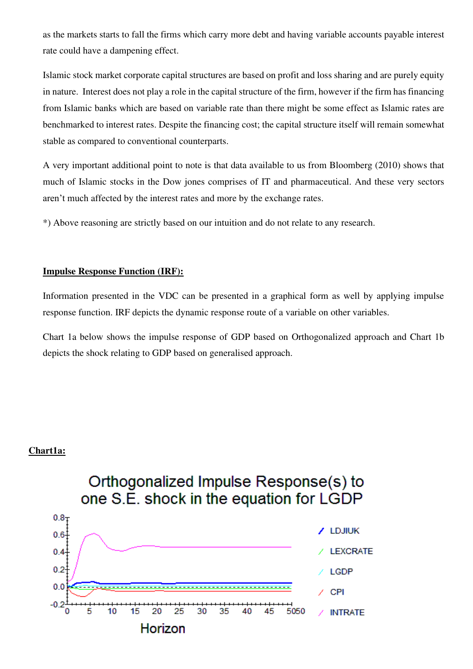as the markets starts to fall the firms which carry more debt and having variable accounts payable interest rate could have a dampening effect.

Islamic stock market corporate capital structures are based on profit and loss sharing and are purely equity in nature. Interest does not play a role in the capital structure of the firm, however if the firm has financing from Islamic banks which are based on variable rate than there might be some effect as Islamic rates are benchmarked to interest rates. Despite the financing cost; the capital structure itself will remain somewhat stable as compared to conventional counterparts.

A very important additional point to note is that data available to us from Bloomberg (2010) shows that much of Islamic stocks in the Dow jones comprises of IT and pharmaceutical. And these very sectors aren't much affected by the interest rates and more by the exchange rates.

\*) Above reasoning are strictly based on our intuition and do not relate to any research.

#### **Impulse Response Function (IRF):**

Information presented in the VDC can be presented in a graphical form as well by applying impulse response function. IRF depicts the dynamic response route of a variable on other variables.

Chart 1a below shows the impulse response of GDP based on Orthogonalized approach and Chart 1b depicts the shock relating to GDP based on generalised approach.

#### **Chart1a:**

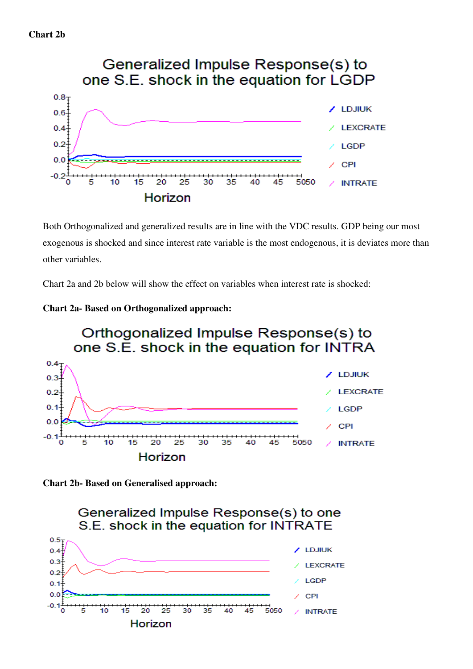

Both Orthogonalized and generalized results are in line with the VDC results. GDP being our most exogenous is shocked and since interest rate variable is the most endogenous, it is deviates more than other variables.

Chart 2a and 2b below will show the effect on variables when interest rate is shocked:







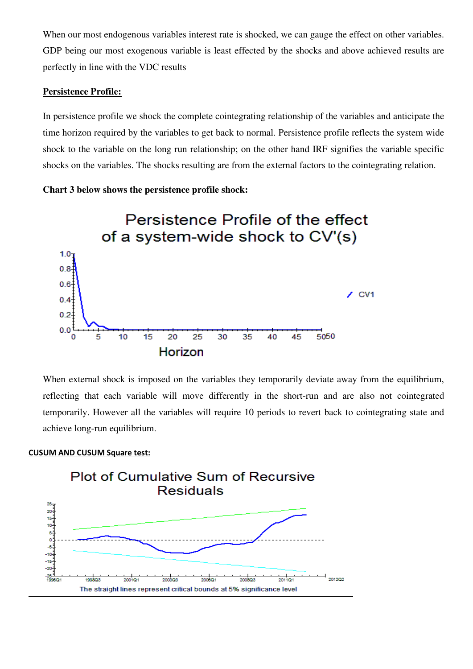When our most endogenous variables interest rate is shocked, we can gauge the effect on other variables. GDP being our most exogenous variable is least effected by the shocks and above achieved results are perfectly in line with the VDC results

#### **Persistence Profile:**

In persistence profile we shock the complete cointegrating relationship of the variables and anticipate the time horizon required by the variables to get back to normal. Persistence profile reflects the system wide shock to the variable on the long run relationship; on the other hand IRF signifies the variable specific shocks on the variables. The shocks resulting are from the external factors to the cointegrating relation.





When external shock is imposed on the variables they temporarily deviate away from the equilibrium, reflecting that each variable will move differently in the short-run and are also not cointegrated temporarily. However all the variables will require 10 periods to revert back to cointegrating state and achieve long-run equilibrium.

#### **CUSUM AND CUSUM Square test:**

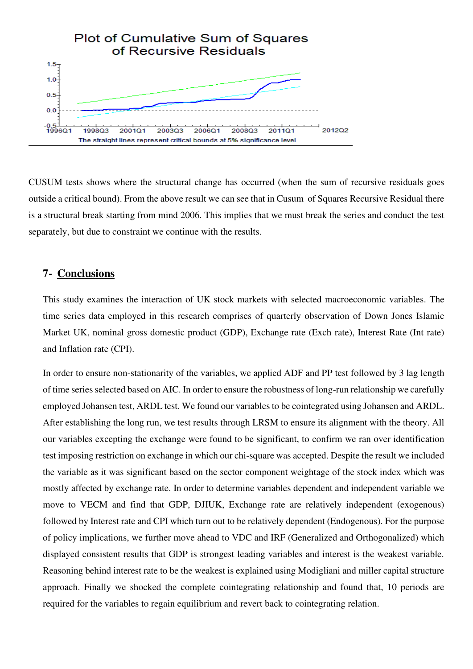

CUSUM tests shows where the structural change has occurred (when the sum of recursive residuals goes outside a critical bound). From the above result we can see that in Cusum of Squares Recursive Residual there is a structural break starting from mind 2006. This implies that we must break the series and conduct the test separately, but due to constraint we continue with the results.

# **7- Conclusions**

This study examines the interaction of UK stock markets with selected macroeconomic variables. The time series data employed in this research comprises of quarterly observation of Down Jones Islamic Market UK, nominal gross domestic product (GDP), Exchange rate (Exch rate), Interest Rate (Int rate) and Inflation rate (CPI).

In order to ensure non-stationarity of the variables, we applied ADF and PP test followed by 3 lag length of time series selected based on AIC. In order to ensure the robustness of long-run relationship we carefully employed Johansen test, ARDL test. We found our variables to be cointegrated using Johansen and ARDL. After establishing the long run, we test results through LRSM to ensure its alignment with the theory. All our variables excepting the exchange were found to be significant, to confirm we ran over identification test imposing restriction on exchange in which our chi-square was accepted. Despite the result we included the variable as it was significant based on the sector component weightage of the stock index which was mostly affected by exchange rate. In order to determine variables dependent and independent variable we move to VECM and find that GDP, DJIUK, Exchange rate are relatively independent (exogenous) followed by Interest rate and CPI which turn out to be relatively dependent (Endogenous). For the purpose of policy implications, we further move ahead to VDC and IRF (Generalized and Orthogonalized) which displayed consistent results that GDP is strongest leading variables and interest is the weakest variable. Reasoning behind interest rate to be the weakest is explained using Modigliani and miller capital structure approach. Finally we shocked the complete cointegrating relationship and found that, 10 periods are required for the variables to regain equilibrium and revert back to cointegrating relation.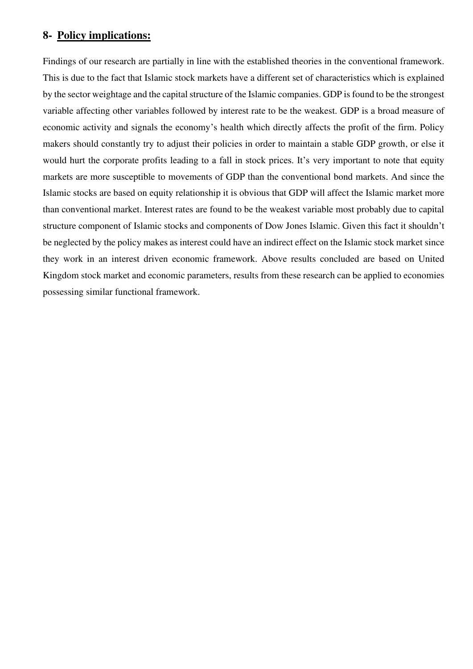# **8- Policy implications:**

Findings of our research are partially in line with the established theories in the conventional framework. This is due to the fact that Islamic stock markets have a different set of characteristics which is explained by the sector weightage and the capital structure of the Islamic companies. GDP is found to be the strongest variable affecting other variables followed by interest rate to be the weakest. GDP is a broad measure of economic activity and signals the economy's health which directly affects the profit of the firm. Policy makers should constantly try to adjust their policies in order to maintain a stable GDP growth, or else it would hurt the corporate profits leading to a fall in stock prices. It's very important to note that equity markets are more susceptible to movements of GDP than the conventional bond markets. And since the Islamic stocks are based on equity relationship it is obvious that GDP will affect the Islamic market more than conventional market. Interest rates are found to be the weakest variable most probably due to capital structure component of Islamic stocks and components of Dow Jones Islamic. Given this fact it shouldn't be neglected by the policy makes as interest could have an indirect effect on the Islamic stock market since they work in an interest driven economic framework. Above results concluded are based on United Kingdom stock market and economic parameters, results from these research can be applied to economies possessing similar functional framework.